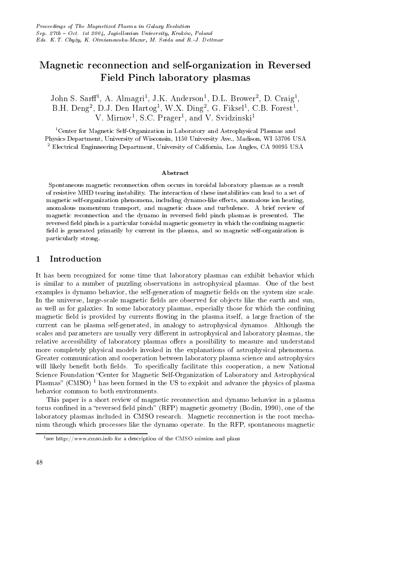# Magnetic reconnection and self-organization in Reversed Field Pinch laboratory plasmas

John S. Sarff<sup>1</sup>, A. Almagri<sup>1</sup>, J.K. Anderson<sup>1</sup>, D.L. Brower<sup>2</sup>, D. Craig<sup>1</sup>, B.H. Deng<sup>2</sup>, D.J. Den Hartog<sup>1</sup>, W.X. Ding<sup>2</sup>, G. Fiksel<sup>1</sup>, C.B. Forest<sup>1</sup>, V. Mirnov<sup>1</sup>, S.C. Prager<sup>1</sup>, and V. Svidzinski<sup>1</sup>

<sup>1</sup>Center for Magnetic Self-Organization in Laboratory and Astrophysical Plasmas and Physics Department, University of Wisconsin, 1150 University Ave., Madison, WI 53706 USA <sup>2</sup> Electrical Enginneering Department, University of California, Los Angles, CA 90095 USA

### Abstract

Spontaneous magnetic reconnection often occurs in toroidal laboratory plasmas as a result of resistive MHD tearing instability. The interaction of these instabilities can lead to a set of magnetic self-organization phenomena, including dynamo-like effects, anomalous ion heating, anomalous momentum transport, and magnetic chaos and turbulence. A brief review of magnetic reconnection and the dynamo in reversed field pinch plasmas is presented. The reversed field pinch is a particular toroidal magnetic geometry in which the confining magnetic field is generated primarily by current in the plasma, and so magnetic self-organization is particularly strong.

#### Introduction  $\mathbf 1$

It has been recognized for some time that laboratory plasmas can exhibit behavior which is similar to a number of puzzling observations in astrophysical plasmas. One of the best examples is dynamo behavior, the self-generation of magnetic fields on the system size scale. In the universe, large-scale magnetic fields are observed for objects like the earth and sun, as well as for galaxies. In some laboratory plasmas, especially those for which the confining magnetic field is provided by currents flowing in the plasma itself, a large fraction of the current can be plasma self-generated, in analogy to astrophysical dynamos. Although the scales and parameters are usually very different in astrophysical and laboratory plasmas, the relative accessibility of laboratory plasmas offers a possibility to measure and understand more completely physical models invoked in the explanations of astrophysical phenomena. Greater communication and cooperation between laboratory plasma science and astrophysics will likely benefit both fields. To specifically facilitate this cooperation, a new National Science Foundation "Center for Magnetic Self-Organization of Laboratory and Astrophysical Plasmas" (CMSO)<sup> $1$ </sup> has been formed in the US to exploit and advance the physics of plasma behavior common to both environments.

This paper is a short review of magnetic reconnection and dynamo behavior in a plasma torus confined in a "reversed field pinch" (RFP) magnetic geometry (Bodin, 1990), one of the laboratory plasmas included in CMSO research. Magnetic reconnection is the root mechanism through which processes like the dynamo operate. In the RFP, spontaneous magnetic

<sup>&</sup>lt;sup>1</sup> see http://www.cmso.info for a description of the CMSO mission and plans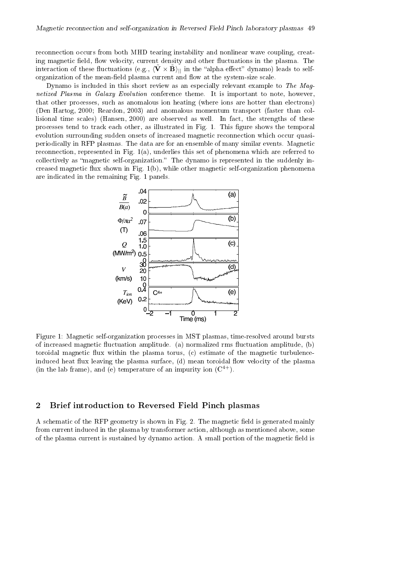reconnection occurs from both MHD tearing instability and nonlinear wave coupling, creating magnetic field, flow velocity, current density and other fluctuations in the plasma. The interaction of these fluctuations (e.g.,  $\langle \tilde{\mathbf{V}} \times \tilde{\mathbf{B}} \rangle_{\parallel}$  in the "alpha effect" dynamo) leads to selforganization of the mean-field plasma current and flow at the system-size scale.

Dynamo is included in this short review as an especially relevant example to The Magnetized Plasma in Galaxy Evolution conference theme. It is important to note, however, that other processes, such as anomalous ion heating (where ions are hotter than electrons) (Den Hartog, 2000; Reardon, 2003) and anomalous momentum transport (faster than collisional time scales) (Hansen, 2000) are observed as well. In fact, the strengths of these processes tend to track each other, as illustrated in Fig. 1. This figure shows the temporal evolution surrounding sudden onsets of increased magnetic reconnection which occur quasiperiodically in RFP plasmas. The data are for an ensemble of many similar events. Magnetic reconnection, represented in Fig.  $1(a)$ , underlies this set of phenomena which are referred to collectively as "magnetic self-organization." The dynamo is represented in the suddenly increased magnetic flux shown in Fig.  $1(b)$ , while other magnetic self-organization phenomena are indicated in the remaining Fig. 1 panels.



Figure 1: Magnetic self-organization processes in MST plasmas, time-resolved around bursts of increased magnetic fluctuation amplitude. (a) normalized rms fluctuation amplitude, (b) toroidal magnetic flux within the plasma torus, (c) estimate of the magnetic turbulenceinduced heat flux leaving the plasma surface, (d) mean toroidal flow velocity of the plasma (in the lab frame), and (e) temperature of an impurity ion  $(C^{4+})$ .

#### $\overline{2}$ Brief introduction to Reversed Field Pinch plasmas

A schematic of the RFP geometry is shown in Fig. 2. The magnetic field is generated mainly from current induced in the plasma by transformer action, although as mentioned above, some of the plasma current is sustained by dynamo action. A small portion of the magnetic field is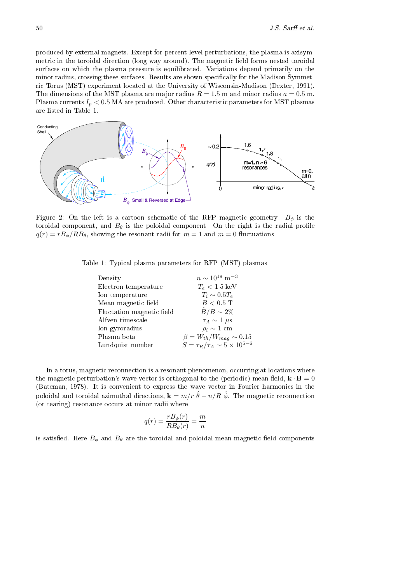?  -     -    - . #-   - - -  < @  -    - 0 -  - ) %  # -)%#.  - / A ) -8 2332. The dimensions of the MST plasma are major radius  $R = 1.5$  m and minor radius  $a = 0.5$  m. Plasma currents  $I_p < 0.5$  MA are produced. Other characteristic parameters for MST plasmas<br>are listed in Table 1 are listed in Table 1.



Figure 2: On the left is a cartoon schematic of the RFP magnetic geometry.  $B_{\phi}$  is the tracital component and  $B_{\phi}$  is the political component. On the virit is the political profile toroidal component, and  $B_{\theta}$  is the poloidal component. On the right is the radial profile<br> $\mathcal{L}(\alpha) = \mathcal{L}(\mathcal{L}(\mathcal{L}(\alpha)))$  $q(r) = rB_\phi/RB_\theta,$  showing the resonant radii for  $m=1$  and  $m=0$  fluctuations.

. The set of the set of the set of the set of the set of the set of the set of the set of the set of the set of the set of the set of the set of the set of the set of the set of the set of the set of the set of the set of

| Density                   | $n \sim 10^{19}$ m <sup>-3</sup>           |
|---------------------------|--------------------------------------------|
| Electron temperature      | $T_e < 1.5$ keV                            |
| Ion temperature           | $T_i \sim 0.5 T_e$                         |
| Mean magnetic field       | $B < 0.5$ T                                |
| Fluctation magnetic field | $B/B \sim 2\%$                             |
| Alfven timescale          | $\tau_A \sim 1 \mu s$                      |
| Ion gyroradius            | $\rho_i \sim 1$ cm                         |
| Plasma beta               | $\beta = W_{th}/W_{mag} \sim 0.15$         |
| Lundquist number          | $S = \tau_R/\tau_A \sim 5 \times 10^{5-6}$ |
|                           |                                            |

    -   the magnetic perturbation's wave vector is orthogonal to the (periodic) mean field,  $\mathbf{k} \cdot \mathbf{B} = 0$ -1 23D6.   -  &  -   poloidal and toroidal azimuthal directions,  $\mathbf{k} = m/r \hat{\theta} - n/R \hat{\phi}$ . The magnetic reconnection  $\mathbf{A}$  and  $\mathbf{A}$  and  $\mathbf{A}$  are the set of  $\mathbf{A}$  and  $\mathbf{A}$  are the set of  $\mathbf{A}$  and  $\mathbf{A}$  are the set of  $\mathbf{A}$  and  $\mathbf{A}$  are the set of  $\mathbf{A}$  and  $\mathbf{A}$  are the set of  $\mathbf{A}$  and  $\mathbf{A}$  a

$$
q(r) = \frac{rB_{\phi}(r)}{RB_{\theta}(r)} = \frac{m}{n}
$$

is satisfied. Here  $B_\phi$  and  $B_\theta$  are the toroidal and poloidal mean magnetic field components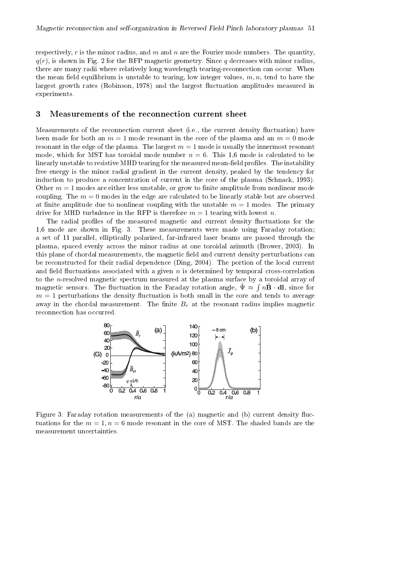respectively, r is the minor radius, and m and n are the Fourier mode numbers. The quantity,  $q(r)$ , is shown in Fig. 2 for the RFP magnetic geometry. Since q decreases with minor radius, there are many radii where relatively long wavelength tearing-reconnection can occur. When the mean field equilibrium is unstable to tearing, low integer values,  $m, n$ , tend to have the largest growth rates (Robinson, 1978) and the largest fluctuation amplitudes measured in experiments.

#### Measurements of the reconnection current sheet 3

Measurements of the reconnection current sheet (i.e., the current density fluctuation) have been made for both an  $m = 1$  mode resonant in the core of the plasma and an  $m = 0$  mode resonant in the edge of the plasma. The largest  $m = 1$  mode is usually the innermost resonant mode, which for MST has toroidal mode number  $n = 6$ . This 1,6 mode is calculated to be linearly unstable to resistive MHD tearing for the measured mean-field profiles. The instability free energy is the minor radial gradient in the current density, peaked by the tendency for induction to produce a concentration of current in the core of the plasma (Schnack, 1993). Other  $m=1$  modes are either less unstable, or grow to finite amplitude from nonlinear mode coupling. The  $m=0$  modes in the edge are calculated to be linearly stable but are observed at finite amplitude due to nonlinear coupling with the unstable  $m = 1$  modes. The primary drive for MHD turbulence in the RFP is therefore  $m = 1$  tearing with lowest n.

The radial profiles of the measured magnetic and current density fluctuations for the 1,6 mode are shown in Fig. 3. These measurements were made using Faraday rotation; a set of 11 parallel, elliptically polarized, far-infrared laser beams are passed through the plasma, spaced evenly across the minor radius at one toroidal azimuth (Brower, 2003). In this plane of chordal measurements, the magnetic field and current density perturbations can be reconstructed for their radial dependence (Ding, 2004). The portion of the local current and field fluctuations associated with a given  $n$  is determined by temporal cross-correlation to the n-resolved magnetic spectrum measured at the plasma surface by a toroidal array of magnetic sensors. The fluctuation in the Faraday rotation angle,  $\tilde{\Psi} \approx \int n \tilde{\mathbf{B}} \cdot d\mathbf{l}$ , since for  $m=1$  perturbations the density fluctuation is both small in the core and tends to average away in the chordal measurement. The finite  $B_r$  at the resonant radius implies magnetic reconnection has occurred.



Figure 3: Faraday rotation measurements of the (a) magnetic and (b) current density fluctuations for the  $m = 1$ ,  $n = 6$  mode resonant in the core of MST. The shaded bands are the measurement uncertainties.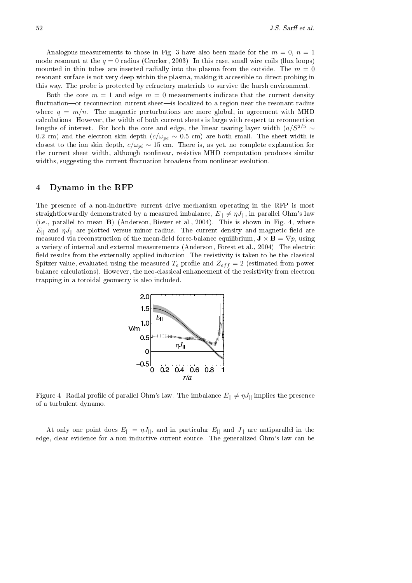Analogous measurements to those in Fig. 3 have also been made for the  $m = 0, n = 1$ mode resonant at the  $q = 0$  radius (Crocker, 2003). In this case, small wire coils (flux loops) mounted in thin tubes are inserted radially into the plasma from the outside. The  $m=0$ resonant surface is not very deep within the plasma, making it accessible to direct probing in this way. The probe is protected by refractory materials to survive the harsh environment.

Both the core  $m = 1$  and edge  $m = 0$  measurements indicate that the current density fluctuation—or reconnection current sheet—is localized to a region near the resonant radius where  $q = m/n$ . The magnetic perturbations are more global, in agreement with MHD calculations. However, the width of both current sheets is large with respect to reconnection lengths of interest. For both the core and edge, the linear tearing layer width  $(a/S^{2/5} \sim$ 0.2 cm) and the electron skin depth  $(c/\omega_{pe} \sim 0.5$  cm) are both small. The sheet width is closest to the ion skin depth,  $c/\omega_{pi} \sim 15$  cm. There is, as yet, no complete explanation for the current sheet width, although nonlinear, resistive MHD computation produces similar widths, suggesting the current fluctuation broadens from nonlinear evolution.

#### Dynamo in the RFP  $\overline{4}$

The presence of a non-inductive current drive mechanism operating in the RFP is most straightforwardly demonstrated by a measured imbalance,  $E_{||} \neq \eta J_{||}$ , in parallel Ohm's law (i.e., parallel to mean B) (Anderson, Biewer et al., 2004). This is shown in Fig. 4, where  $E_{\parallel}$  and  $\eta J_{\parallel}$  are plotted versus minor radius. The current density and magnetic field are measured via reconstruction of the mean-field force-balance equilibrium,  $\mathbf{J} \times \mathbf{B} = \nabla p$ , using a variety of internal and external measurements (Anderson, Forest et al., 2004). The electric field results from the externally applied induction. The resistivity is taken to be the classical Spitzer value, evaluated using the measured  $T_e$  profile and  $Z_{eff} = 2$  (estimated from power balance calculations). However, the neo-classical enhancement of the resistivity from electron trapping in a toroidal geometry is also included.



Figure 4: Radial profile of parallel Ohm's law. The imbalance  $E_{||} \neq \eta J_{||}$  implies the presence of a turbulent dynamo.

At only one point does  $E_{||} = \eta J_{||}$ , and in particular  $E_{||}$  and  $J_{||}$  are antiparallel in the edge, clear evidence for a non-inductive current source. The generalized Ohm's law can be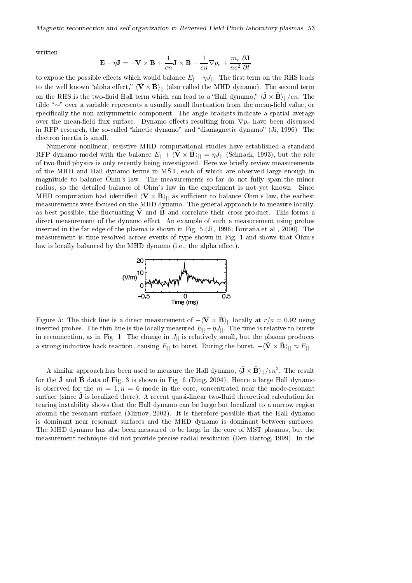written

$$
\mathbf{E} - \eta \mathbf{J} = -\mathbf{V} \times \mathbf{B} + \frac{1}{en} \mathbf{J} \times \mathbf{B} - \frac{1}{en} \nabla p_e + \frac{m_e}{ne^2} \frac{\partial \mathbf{J}}{\partial t}
$$

to expose the possible effects which would balance  $E_{\parallel} - \eta J_{\parallel}$ . The first term on the RHS leads to the well known "alpha effect,"  $\langle \tilde{V} \times \tilde{B} \rangle_{||}$  (also called the MHD dynamo). The second term on the RHS is the two-fluid Hall term which can lead to a "Hall dynamo,"  $\langle \tilde{\mathbf{J}} \times \tilde{\mathbf{B}} \rangle_{\parallel}/en$ . The tilde " $\sim$ " over a variable represents a usually small fluctuation from the mean-field value, or specifically the non-axisymmetric component. The angle brackets indicate a spatial average over the mean-field flux surface. Dynamo effects resulting from  $\nabla p_e$  have been discussed in RFP research, the so-called "kinetic dynamo" and "diamagnetic dynamo" (Ji, 1996). The electron inertia is small.

Numerous nonlinear, resistive MHD computational studies have established a standard RFP dynamo model with the balance  $E_{||} + \langle \tilde{V} \times \tilde{B} \rangle_{||} = \eta J_{||}$  (Schnack, 1993), but the role of two-fluid physics is only recently being investigated. Here we briefly review measurements of the MHD and Hall dynamo terms in MST, each of which are observed large enough in magnitude to balance Ohm's law. The measurements so far do not fully span the minor radius, so the detailed balance of Ohm's law in the experiment is not yet known. Since MHD computation had identified  $\langle \tilde{\mathbf{V}} \times \tilde{\mathbf{B}} \rangle_{\parallel}$  as sufficient to balance Ohm's law, the earliest measurements were focused on the MHD dynamo. The general approach is to measure locally, as best possible, the fluctuating  $\tilde{V}$  and  $\tilde{B}$  and correlate their cross product. This forms a direct measurement of the dynamo effect. An example of such a measurement using probes inserted in the far edge of the plasma is shown in Fig. 5 (Ji, 1996; Fontana et al., 2000). The measurement is time-resolved across events of type shown in Fig. 1 and shows that Ohm's law is locally balanced by the MHD dynamo (i.e., the alpha effect).



Figure 5: The thick line is a direct measurement of  $-\langle \tilde{\mathbf{V}} \times \tilde{\mathbf{B}} \rangle_{\parallel}$  locally at  $r/a = 0.92$  using inserted probes. The thin line is the locally measured  $E_{||} - \eta J_{||}$ . The time is relative to bursts in reconnection, as in Fig. 1. The change in  $J_{\parallel}$  is relatively small, but the plasma produces a strong inductive back reaction, causing  $E_{||}$  to burst. During the burst,  $-\langle \tilde{\mathbf{V}} \times \tilde{\mathbf{B}} \rangle_{||} \approx E_{||}$ 

A similar approach has been used to measure the Hall dynamo,  $\langle \tilde{\mathbf{J}} \times \tilde{\mathbf{B}} \rangle_{||}/en^2$ . The result for the J and B data of Fig. 3 is shown in Fig. 6 (Ding, 2004). Hence a large Hall dynamo is observed for the  $m = 1, n = 6$  mode in the core, concentrated near the mode-resonant surface (since  $\tilde{J}$  is localized there). A recent quasi-linear two-fluid theoretical calculation for tearing instability shows that the Hall dynamo can be large but localized to a narrow region around the resonant surface (Mirnov, 2003). It is therefore possible that the Hall dynamo is dominant near resonant surfaces and the MHD dynamo is dominant between surfaces. The MHD dynamo has also been measured to be large in the core of MST plasmas, but the measurement technique did not provide precise radial resolution (Den Hartog, 1999). In the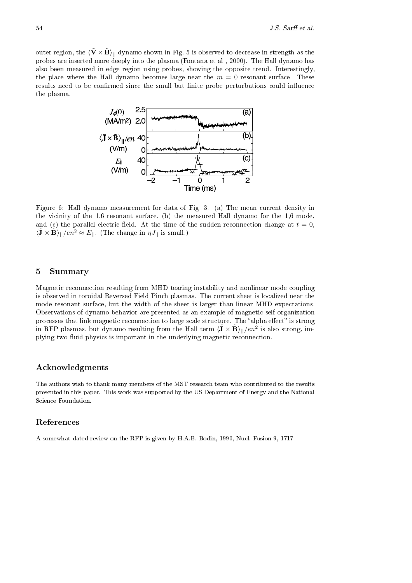outer region, the  $\langle \tilde{V} \times \tilde{B} \rangle_{||}$  dynamo shown in Fig. 5 is observed to decrease in strength as the probes are inserted more deeply into the plasma (Fontana et al., 2000). The Hall dynamo has also been measured in edge region using probes, showing the opposite trend. Interestingly, the place where the Hall dynamo becomes large near the  $m = 0$  resonant surface. These results need to be confirmed since the small but finite probe perturbations could influence the plasma.



Figure 6: Hall dynamo measurement for data of Fig. 3. (a) The mean current density in the vicinity of the  $1,6$  resonant surface, (b) the measured Hall dynamo for the  $1,6$  mode, and (c) the parallel electric field. At the time of the sudden reconnection change at  $t=0$ ,  $\langle \mathbf{\tilde{J}} \times \mathbf{\tilde{B}} \rangle_{||}/en^2 \approx E_{||}$ . (The change in  $\eta J_{||}$  is small.)

#### 5 Summary

Magnetic reconnection resulting from MHD tearing instability and nonlinear mode coupling is observed in toroidal Reversed Field Pinch plasmas. The current sheet is localized near the mode resonant surface, but the width of the sheet is larger than linear MHD expectations. Observations of dynamo behavior are presented as an example of magnetic self-organization processes that link magnetic reconnection to large scale structure. The "alpha effect" is strong in RFP plasmas, but dynamo resulting from the Hall term  $\langle \tilde{\mathbf{J}} \times \tilde{\mathbf{B}} \rangle_{||}/en^2$  is also strong, implying two-fluid physics is important in the underlying magnetic reconnection.

### Acknowledgments

The authors wish to thank many members of the MST research team who contributed to the results presented in this paper. This work was supported by the US Department of Energy and the National Science Foundation.

## References

A somewhat dated review on the RFP is given by H.A.B. Bodin, 1990, Nucl. Fusion 9, 1717